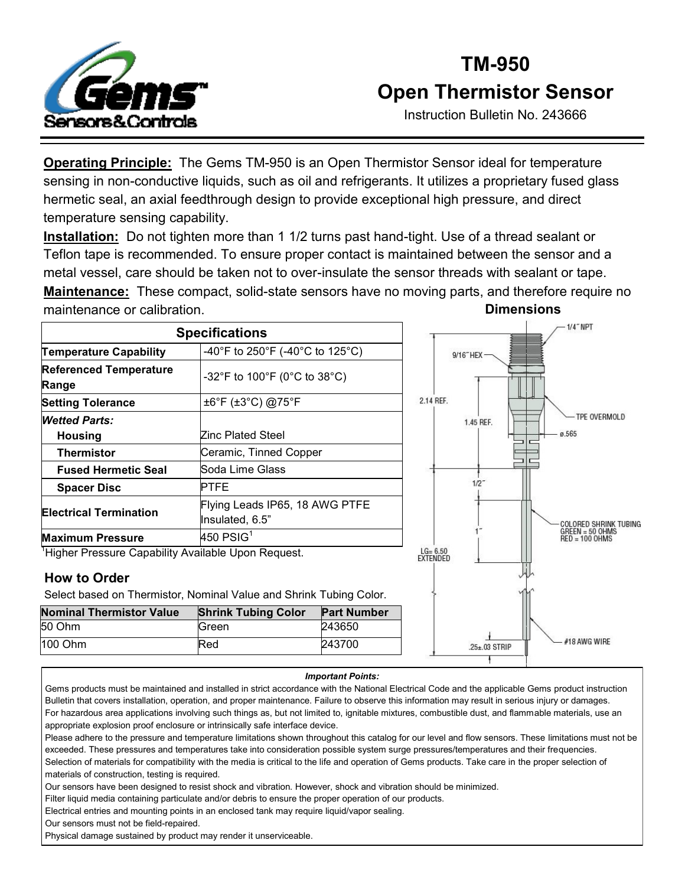

## **TM-950 Open Thermistor Sensor**

Instruction Bulletin No. 243666

#18 AWG WIRE

25±.03 STRIP

**Operating Principle:** The Gems TM-950 is an Open Thermistor Sensor ideal for temperature sensing in non-conductive liquids, such as oil and refrigerants. It utilizes a proprietary fused glass hermetic seal, an axial feedthrough design to provide exceptional high pressure, and direct temperature sensing capability.

**Installation:** Do not tighten more than 1 1/2 turns past hand-tight. Use of a thread sealant or Teflon tape is recommended. To ensure proper contact is maintained between the sensor and a metal vessel, care should be taken not to over-insulate the sensor threads with sealant or tape. **Maintenance:** These compact, solid-state sensors have no moving parts, and therefore require no maintenance or calibration. **Dimensions**

| <b>Specifications</b>                              |                                                   |                         | $-1/4$ NPT                            |
|----------------------------------------------------|---------------------------------------------------|-------------------------|---------------------------------------|
| <b>Temperature Capability</b>                      | -40°F to 250°F (-40°C to 125°C)                   | 9/16"HEX-               |                                       |
| <b>Referenced Temperature</b><br>Range             | -32°F to 100°F (0°C to 38°C)                      |                         |                                       |
| <b>Setting Tolerance</b>                           | ±6°F (±3°C) @75°F                                 | 2.14 REF.               |                                       |
| <b>Wetted Parts:</b>                               |                                                   | 1.45 REF.               | TPE OVERMOLD                          |
| Housing                                            | Zinc Plated Steel                                 |                         | ø.565                                 |
| <b>Thermistor</b>                                  | Ceramic, Tinned Copper                            |                         |                                       |
| <b>Fused Hermetic Seal</b>                         | Soda Lime Glass                                   |                         |                                       |
| <b>Spacer Disc</b>                                 | PTFE                                              | 1/2                     |                                       |
| <b>Electrical Termination</b>                      | Flying Leads IP65, 18 AWG PTFE<br>Insulated, 6.5" |                         | COLORED SHRINK TUBING                 |
| <b>Maximum Pressure</b>                            | 450 $PSIG1$                                       |                         | $GREFN = 50$ OHMS<br>$RED = 100$ OHMS |
| Higher Pressure Capability Available Upon Request. |                                                   | $LG = 6.50$<br>EXTENDED |                                       |

#### **How to Order**

Select based on Thermistor, Nominal Value and Shrink Tubing Color.

| <b>Nominal Thermistor Value</b> | <b>Shrink Tubing Color</b> | <b>Part Number</b> |
|---------------------------------|----------------------------|--------------------|
| 50 Ohm                          | Green                      | 243650             |
| $100$ Ohm                       | Red                        | 243700             |

### *Important Points:*

Gems products must be maintained and installed in strict accordance with the National Electrical Code and the applicable Gems product instruction Bulletin that covers installation, operation, and proper maintenance. Failure to observe this information may result in serious injury or damages. For hazardous area applications involving such things as, but not limited to, ignitable mixtures, combustible dust, and flammable materials, use an appropriate explosion proof enclosure or intrinsically safe interface device.

Please adhere to the pressure and temperature limitations shown throughout this catalog for our level and flow sensors. These limitations must not be exceeded. These pressures and temperatures take into consideration possible system surge pressures/temperatures and their frequencies.

Selection of materials for compatibility with the media is critical to the life and operation of Gems products. Take care in the proper selection of materials of construction, testing is required.

Our sensors have been designed to resist shock and vibration. However, shock and vibration should be minimized.

Filter liquid media containing particulate and/or debris to ensure the proper operation of our products.

Electrical entries and mounting points in an enclosed tank may require liquid/vapor sealing.

Our sensors must not be field-repaired.

Physical damage sustained by product may render it unserviceable.